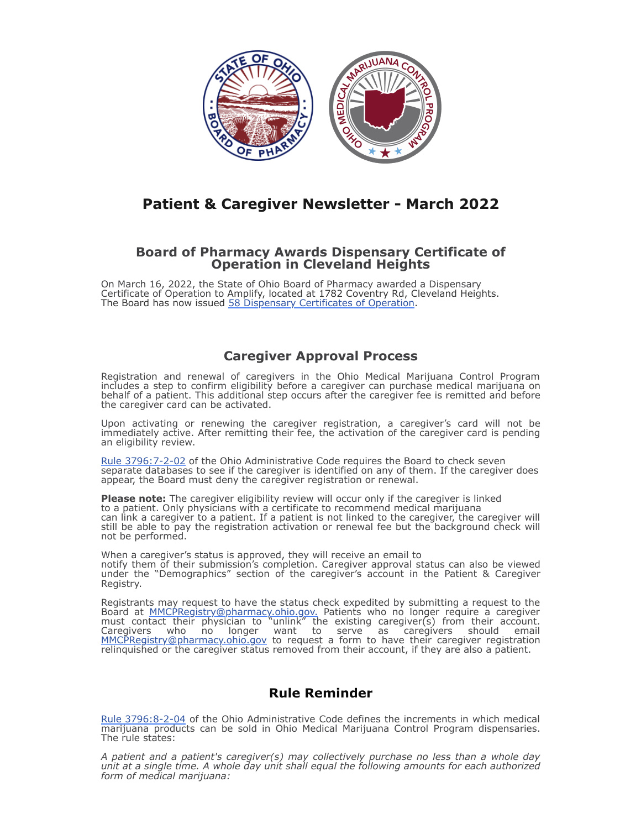

## **Patient & Caregiver Newsletter - March 2022**

## **Board of Pharmacy Awards Dispensary Certificate of Operation in Cleveland Heights**

On March 16, 2022, the State of Ohio Board of Pharmacy awarded a Dispensary Certificate of Operation to Amplify, located at 1782 Coventry Rd, Cleveland Heights. The Board has now issued [58 Dispensary Certificates of Operation](https://www.medicalmarijuana.ohio.gov/Documents/Dispensaries/List%20of%20Ohio%20Medical%20Marijuana%20Dispensaries%20with%20Certificates%20of%20Operation.pdf).

## **Caregiver Approval Process**

Registration and renewal of caregivers in the Ohio Medical Marijuana Control Program includes a step to confirm eligibility before a caregiver can purchase medical marijuana on behalf of a patient. This additional step occurs after the caregiver fee is remitted and before the caregiver card can be activated.

Upon activating or renewing the caregiver registration, a caregiver's card will not be immediately active. After remitting their fee, the activation of the caregiver card is pending an eligibility review.

[Rule 3796:7-2-02](https://codes.ohio.gov/ohio-administrative-code/rule-3796:7-2-02) of the Ohio Administrative Code requires the Board to check seven separate databases to see if the caregiver is identified on any of them. If the caregiver does appear, the Board must deny the caregiver registration or renewal.

**Please note:** The caregiver eligibility review will occur only if the caregiver is linked to a patient. Only physicians with a certificate to recommend medical marijuana can link a caregiver to a patient. If a patient is not linked to the caregiver, the caregiver will still be able to pay the registration activation or renewal fee but the background check will not be performed.

When a caregiver's status is approved, they will receive an email to notify them of their submission's completion. Caregiver approval status can also be viewed under the "Demographics" section of the caregiver's account in the Patient & Caregiver Registry.

Registrants may request to have the status check expedited by submitting a request to the Board at **[MMCPRegistry@pharmacy.ohio.gov.](mailto:MMCPRegistry@pharmacy.ohio.gov)** Patients who no longer require a caregiver must contact their physician to "unlink" the existing caregiver(s) from their account. Caregivers who no longer want to serve as caregivers should email [MMCPRegistry@pharmacy.ohio.gov](mailto:MMCPRegistry@pharmacy.ohio.gov) to request a form to have their caregiver registration relinquished or the caregiver status removed from their account, if they are also a patient.

## **Rule Reminder**

[Rule 3796:8-2-04](https://codes.ohio.gov/ohio-administrative-code/rule-3796:8-2-04) of the Ohio Administrative Code defines the increments in which medical marijuana products can be sold in Ohio Medical Marijuana Control Program dispensaries. The rule states:

*A patient and a patient's caregiver(s) may collectively purchase no less than a whole day unit at a single time. A whole day unit shall equal the following amounts for each authorized form of medical marijuana:*